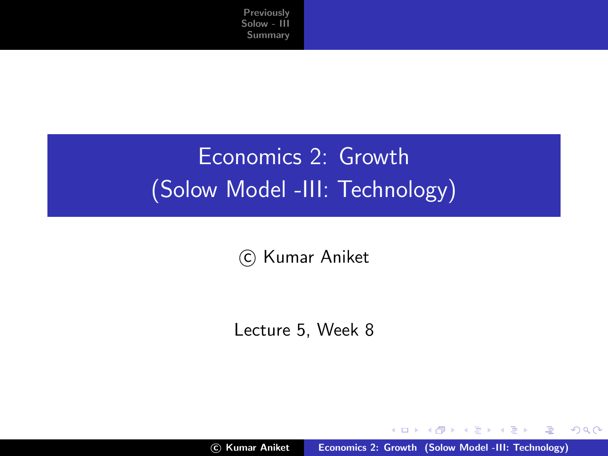# Economics 2: Growth (Solow Model -III: Technology)

c Kumar Aniket

Lecture 5, Week 8

c Kumar Aniket [Economics 2: Growth \(Solow Model -III: Technology\)](#page-29-0)

K ロ ⊁ K 倒 ≯ K ミ ⊁ K ミ ≯

<span id="page-0-0"></span>哇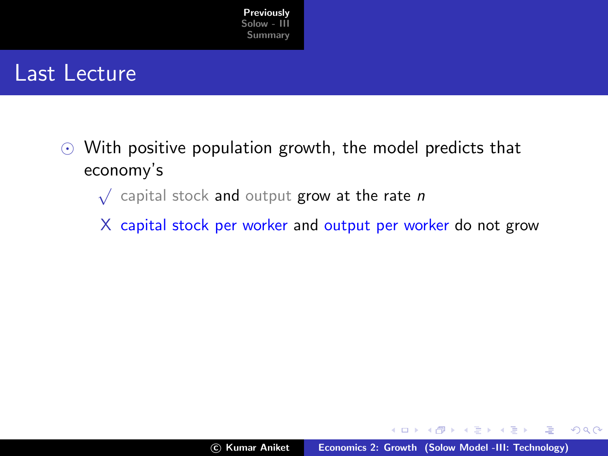

#### Last Lecture

- $\odot$  With positive population growth, the model predicts that economy's
	- $\sqrt{\phantom{a}}$  capital stock and output grow at the rate n
	- X capital stock per worker and output per worker do not grow

 $4.17 \times$ 

<span id="page-1-0"></span>マーター マーティング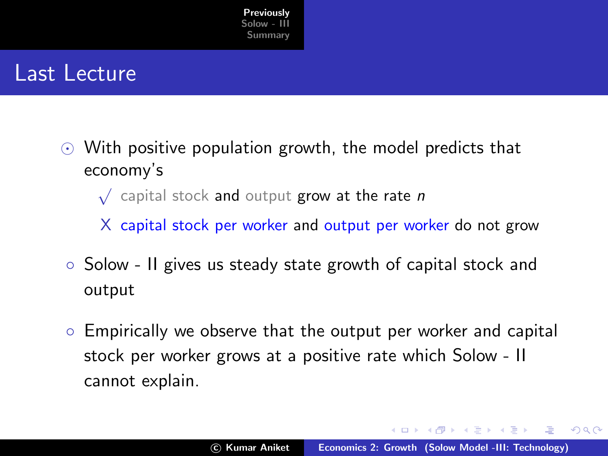

#### Last Lecture

- $\odot$  With positive population growth, the model predicts that economy's
	- $\sqrt{\phantom{a}}$  capital stock and output grow at the rate n
	- X capital stock per worker and output per worker do not grow
- Solow II gives us steady state growth of capital stock and output
- Empirically we observe that the output per worker and capital stock per worker grows at a positive rate which Solow - II cannot explain.

イロメ マ桐 メラミンマチャ

 $\Omega$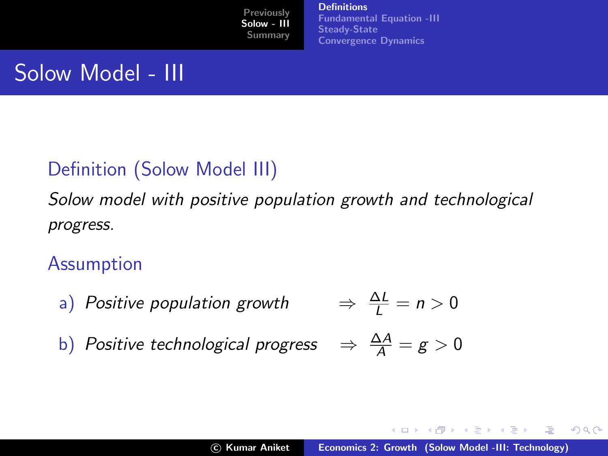**[Definitions](#page-3-0)** [Fundamental Equation -III](#page-11-0) [Steady-State](#page-16-0) [Convergence Dynamics](#page-24-0)

## Solow Model - III

#### Definition (Solow Model III)

Solow model with positive population growth and technological progress.

Assumption

a) Positive population growth  $\Rightarrow \frac{\Delta L}{l} = n > 0$ 

b) Positive technological progress  $\Rightarrow \frac{\Delta A}{A} = g > 0$ 

メロメ メ御 メメ きょ メモメ

<span id="page-3-0"></span> $2Q$ 

哇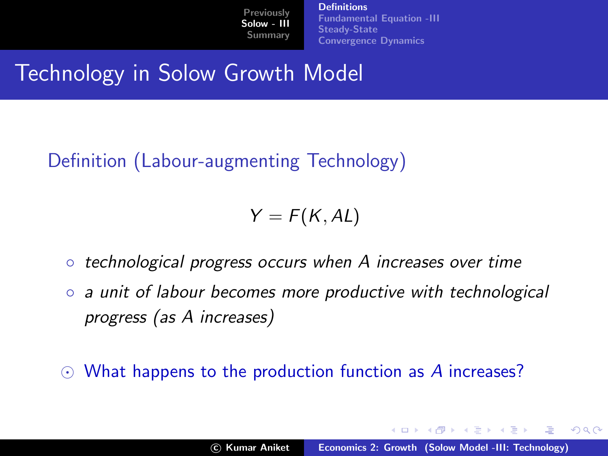**[Definitions](#page-3-0)** [Fundamental Equation -III](#page-11-0) [Steady-State](#page-16-0) [Convergence Dynamics](#page-24-0)

Technology in Solow Growth Model

#### Definition (Labour-augmenting Technology)

 $Y = F(K, AL)$ 

- technological progress occurs when A increases over time
- a unit of labour becomes more productive with technological progress (as A increases)

 $\odot$  What happens to the production function as A increases?

イロメ マ桐 メラミンマチャ

 $\Omega$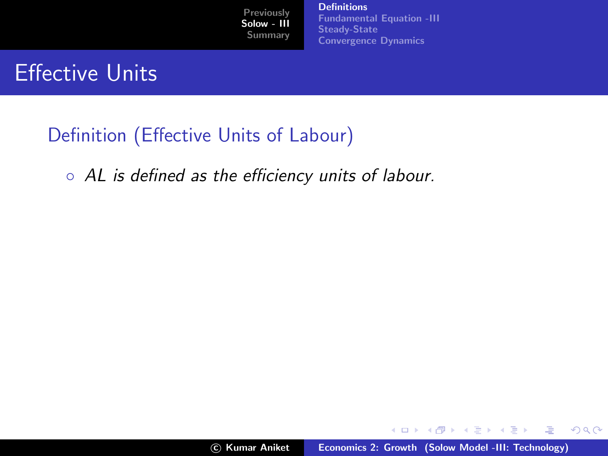[Definitions](#page-3-0) [Fundamental Equation -III](#page-11-0) [Steady-State](#page-16-0) [Convergence Dynamics](#page-24-0)

## Effective Units

#### Definition (Effective Units of Labour)

◦ AL is defined as the efficiency units of labour.

メロメ メ御 メメ ミメメ ヨメ

哇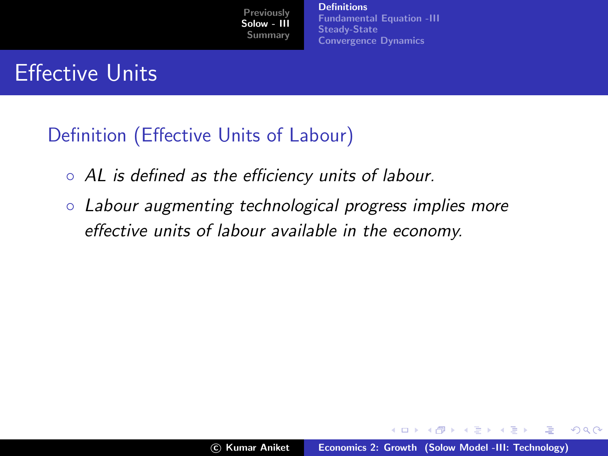**[Definitions](#page-3-0)** [Fundamental Equation -III](#page-11-0) [Steady-State](#page-16-0) [Convergence Dynamics](#page-24-0)

## Effective Units

#### Definition (Effective Units of Labour)

- AL is defined as the efficiency units of labour.
- Labour augmenting technological progress implies more effective units of labour available in the economy.

イロメ マ桐 メラミンマチャ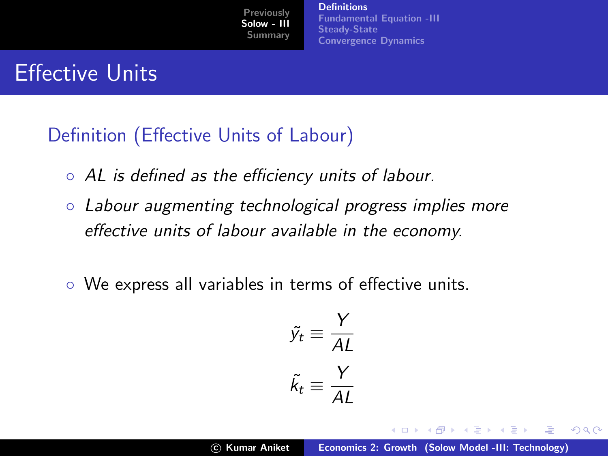**[Definitions](#page-3-0)** [Fundamental Equation -III](#page-11-0) [Steady-State](#page-16-0) [Convergence Dynamics](#page-24-0)

## Effective Units

#### Definition (Effective Units of Labour)

- AL is defined as the efficiency units of labour.
- Labour augmenting technological progress implies more effective units of labour available in the economy.
- We express all variables in terms of effective units.

$$
\tilde{y_t} \equiv \frac{Y}{AL}
$$

$$
\tilde{k_t} \equiv \frac{Y}{AL}
$$

イロメ マ桐 メラミンマチャ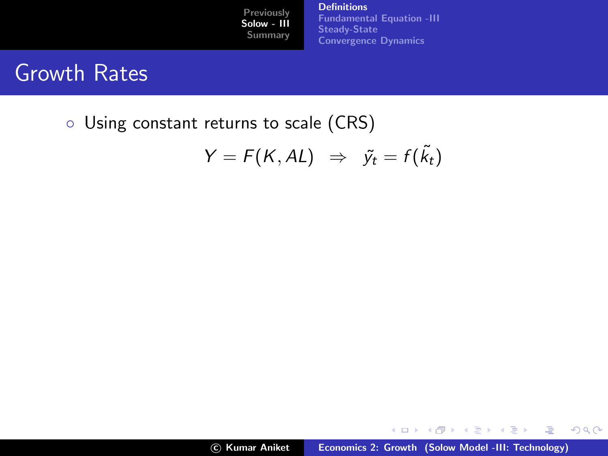**[Definitions](#page-3-0)** [Fundamental Equation -III](#page-11-0) [Steady-State](#page-16-0) [Convergence Dynamics](#page-24-0)

## Growth Rates

◦ Using constant returns to scale (CRS)

$$
Y = F(K, AL) \Rightarrow \tilde{y}_t = f(\tilde{k}_t)
$$

メロメ メ団 メイ きょくきょう

唐

 $299$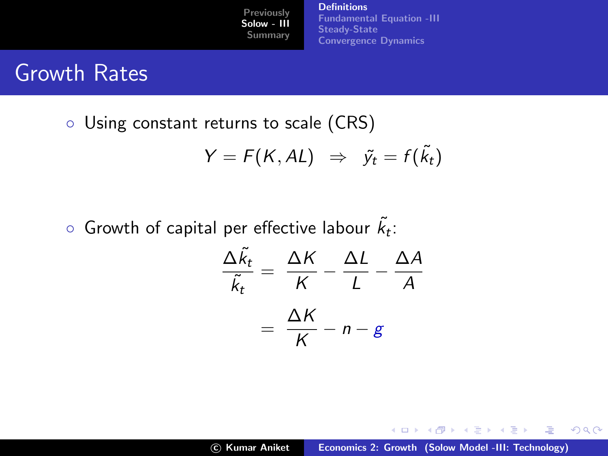[Definitions](#page-3-0) [Fundamental Equation -III](#page-11-0) [Steady-State](#page-16-0) [Convergence Dynamics](#page-24-0)

## Growth Rates

◦ Using constant returns to scale (CRS)

$$
Y = F(K, AL) \Rightarrow \tilde{y}_t = f(\tilde{k}_t)
$$

 $\,\circ\,$  Growth of capital per effective labour  $\tilde{k_t}$ :

$$
\frac{\Delta \tilde{k}_t}{\tilde{k}_t} = \frac{\Delta K}{K} - \frac{\Delta L}{L} - \frac{\Delta A}{A}
$$

$$
= \frac{\Delta K}{K} - n - g
$$

K ロ ⊁ K 倒 ≯ K ミ ⊁ K ミ ⊁

哇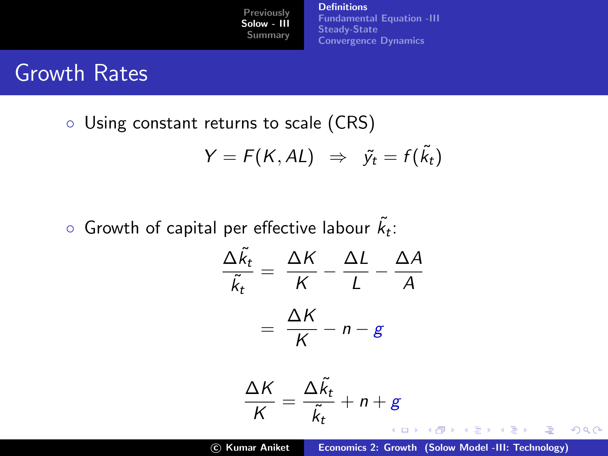[Definitions](#page-3-0) [Fundamental Equation -III](#page-11-0) [Steady-State](#page-16-0) [Convergence Dynamics](#page-24-0)

## Growth Rates

◦ Using constant returns to scale (CRS)

$$
Y = F(K, AL) \Rightarrow \tilde{y}_t = f(\tilde{k}_t)
$$

 $\,\circ\,$  Growth of capital per effective labour  $\tilde{k_t}$ :

$$
\frac{\Delta \ddot{k}_t}{\ddot{k}_t} = \frac{\Delta K}{K} - \frac{\Delta L}{L} - \frac{\Delta A}{A}
$$

$$
= \frac{\Delta K}{K} - n - g
$$

$$
\frac{\Delta K}{K} = \frac{\Delta \tilde{k}_t}{\tilde{k}_t} + n + g
$$

c Kumar Aniket [Economics 2: Growth \(Solow Model -III: Technology\)](#page-0-0)

哇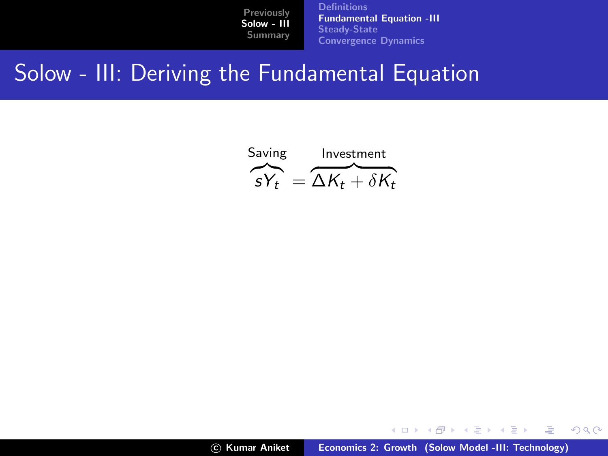[Definitions](#page-3-0) [Fundamental Equation -III](#page-13-0) [Steady-State](#page-16-0) [Convergence Dynamics](#page-24-0)

### Solow - III: Deriving the Fundamental Equation



メロメ メ御き メミメ メミメー

<span id="page-11-0"></span>哇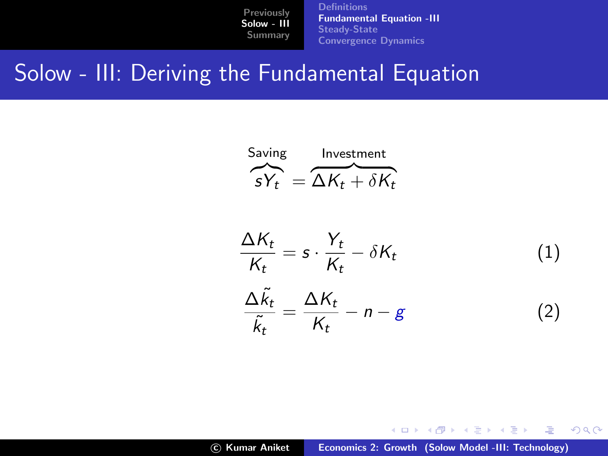[Definitions](#page-3-0) [Fundamental Equation -III](#page-13-0) [Steady-State](#page-16-0) [Convergence Dynamics](#page-24-0)

### Solow - III: Deriving the Fundamental Equation



$$
\frac{\Delta K_t}{K_t} = s \cdot \frac{Y_t}{K_t} - \delta K_t \tag{1}
$$
\n
$$
\frac{\Delta \tilde{k}_t}{\tilde{k}_t} = \frac{\Delta K_t}{K_t} - n - g \tag{2}
$$

c Kumar Aniket [Economics 2: Growth \(Solow Model -III: Technology\)](#page-0-0)

メロメ メ御き メミメ メミメー

哇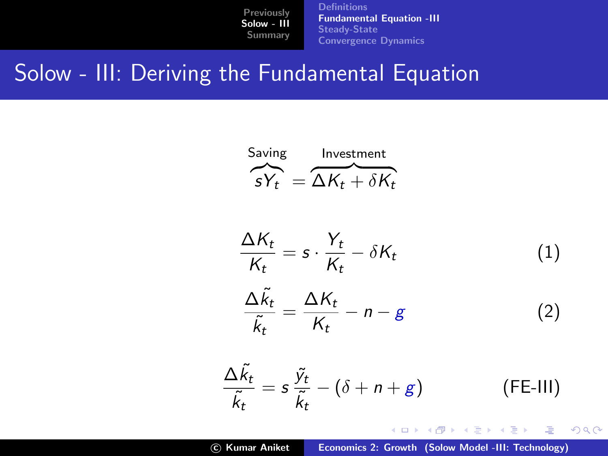**[Definitions](#page-3-0)** [Fundamental Equation -III](#page-11-0) [Steady-State](#page-16-0) [Convergence Dynamics](#page-24-0)

### Solow - III: Deriving the Fundamental Equation

Saving Investment  

$$
\overbrace{S Y_t}^{\text{Investment}} = \overbrace{\Delta K_t + \delta K_t}^{\text{Investment}}
$$

$$
\frac{\Delta K_t}{K_t} = s \cdot \frac{Y_t}{K_t} - \delta K_t \tag{1}
$$

$$
\frac{\Delta \tilde{k}_t}{\tilde{k}_t} = \frac{\Delta K_t}{K_t} - n - g \tag{2}
$$

$$
\frac{\Delta \tilde{k}_t}{\tilde{k}_t} = s \frac{\tilde{y}_t}{\tilde{k}_t} - (\delta + n + g)
$$
 (FE-III)

イロメ イ部メ イヨメ イヨメー

<span id="page-13-0"></span>造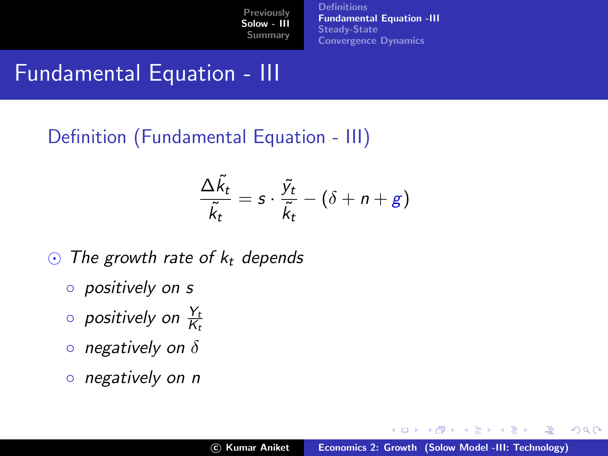**[Definitions](#page-3-0)** [Fundamental Equation -III](#page-11-0) [Steady-State](#page-16-0) [Convergence Dynamics](#page-24-0)

## Fundamental Equation - III

#### Definition (Fundamental Equation - III)

$$
\frac{\Delta \tilde{k}_t}{\tilde{k}_t} = s \cdot \frac{\tilde{y}_t}{\tilde{k}_t} - (\delta + n + g)
$$

- $\odot$  The growth rate of  $k_t$  depends
	- positively on s
	- $\circ$  positively on  $\frac{Y_t}{K_t}$
	- $\circ$  negatively on  $\delta$
	- negatively on n

 $4.17 \times$ 

マタンマチャマチャ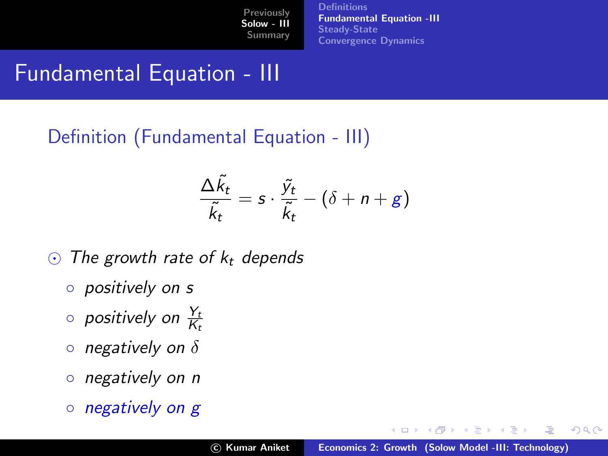**[Definitions](#page-3-0)** [Fundamental Equation -III](#page-11-0) [Steady-State](#page-16-0) [Convergence Dynamics](#page-24-0)

## Fundamental Equation - III

#### Definition (Fundamental Equation - III)

$$
\frac{\Delta \tilde{k}_t}{\tilde{k}_t} = s \cdot \frac{\tilde{y}_t}{\tilde{k}_t} - (\delta + n + g)
$$

- $\odot$  The growth rate of  $k_t$  depends
	- positively on s
	- $\circ$  positively on  $\frac{Y_t}{K_t}$
	- $\circ$  negatively on  $\delta$
	- negatively on n
	- negatively on g

 $4.17 \times$ 

 $\leftarrow$   $\leftarrow$   $\leftarrow$ 

 $\rightarrow$   $\equiv$   $\rightarrow$ 

 $\rightarrow$   $\equiv$   $\rightarrow$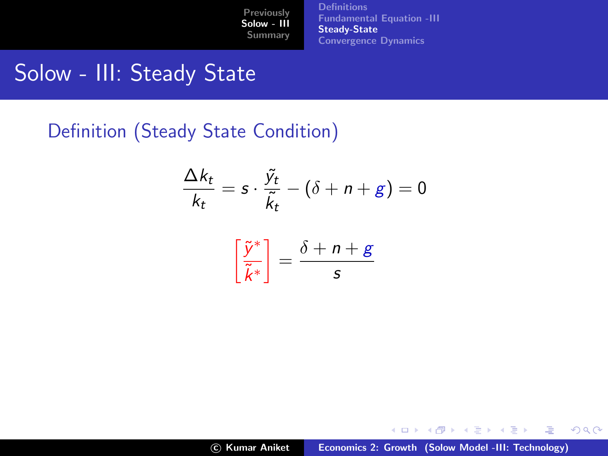**[Definitions](#page-3-0)** [Fundamental Equation -III](#page-11-0) [Steady-State](#page-18-0) [Convergence Dynamics](#page-24-0)

### Solow - III: Steady State

Definition (Steady State Condition)

$$
\frac{\Delta k_t}{k_t} = s \cdot \frac{\tilde{y}_t}{\tilde{k}_t} - (\delta + n + g) = 0
$$

$$
\left[\frac{\tilde{y}^*}{\tilde{k}^*}\right] = \frac{\delta + n + g}{s}
$$

c Kumar Aniket [Economics 2: Growth \(Solow Model -III: Technology\)](#page-0-0)

イロト イ団 トイ ミト イヨト

<span id="page-16-0"></span>画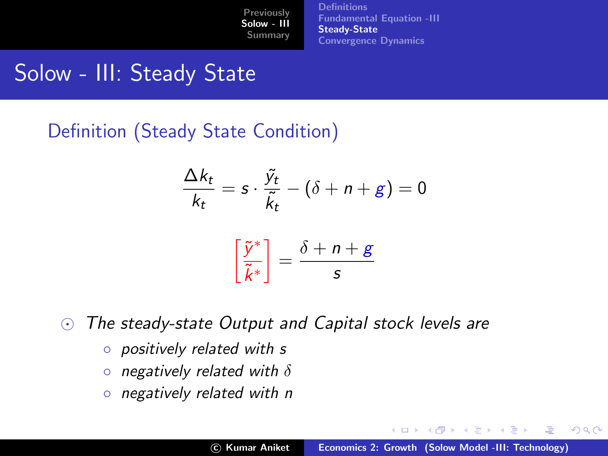**[Definitions](#page-3-0)** [Fundamental Equation -III](#page-11-0) [Steady-State](#page-18-0) [Convergence Dynamics](#page-24-0)

## Solow - III: Steady State

Definition (Steady State Condition)

$$
\frac{\Delta k_t}{k_t} = s \cdot \frac{\tilde{y}_t}{\tilde{k}_t} - (\delta + n + g) = 0
$$

$$
\left[\frac{\tilde{y}^*}{\tilde{k}^*}\right] = \frac{\delta + n + g}{s}
$$

 $\odot$  The steady-state Output and Capital stock levels are

- positively related with s
- $\circ$  negatively related with  $\delta$
- negatively related with n

K ロ ⊁ K 倒 ≯ K ミ ⊁ K ミ ⊁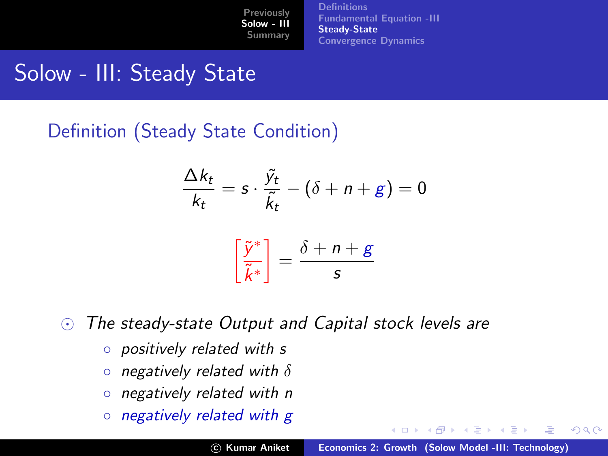**[Definitions](#page-3-0)** [Fundamental Equation -III](#page-11-0) [Steady-State](#page-16-0) [Convergence Dynamics](#page-24-0)

## Solow - III: Steady State

Definition (Steady State Condition)

$$
\frac{\Delta k_t}{k_t} = s \cdot \frac{\tilde{y}_t}{\tilde{k}_t} - (\delta + n + g) = 0
$$

$$
\left[\frac{\tilde{y}^*}{\tilde{k}^*}\right] = \frac{\delta + n + g}{s}
$$

 $\odot$  The steady-state Output and Capital stock levels are

- positively related with s
- $\circ$  negatively related with  $\delta$
- negatively related with n
- negatively related with g

<span id="page-18-0"></span>K ロ ⊁ K 倒 ≯ K ミ ⊁ K ミ ⊁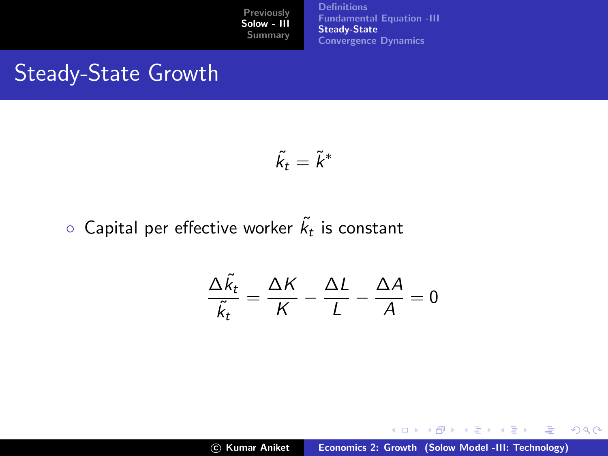[Definitions](#page-3-0) [Fundamental Equation -III](#page-11-0) [Steady-State](#page-16-0) [Convergence Dynamics](#page-24-0)

## Steady-State Growth

$$
\tilde{k}_t=\tilde{k}^*
$$

#### $\circ$  Capital per effective worker  $\tilde{k_t}$  is constant

$$
\frac{\Delta \tilde{k}_t}{\tilde{k}_t} = \frac{\Delta K}{K} - \frac{\Delta L}{L} - \frac{\Delta A}{A} = 0
$$

K ロ ⊁ K 倒 ≯ K ミ ⊁ K ミ ⊁

哇

 $299$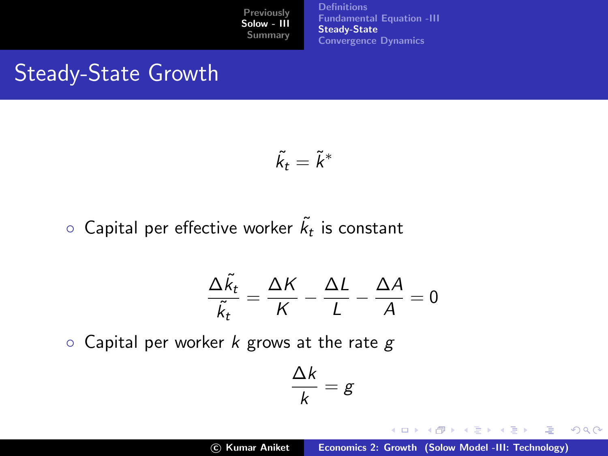**[Definitions](#page-3-0)** [Fundamental Equation -III](#page-11-0) **[Steady-State](#page-16-0)** [Convergence Dynamics](#page-24-0)

## Steady-State Growth

$$
\tilde{k}_t=\tilde{k}^*
$$

 $\circ$  Capital per effective worker  $\tilde{k_t}$  is constant

$$
\frac{\Delta \tilde{k}_t}{\tilde{k}_t} = \frac{\Delta K}{K} - \frac{\Delta L}{L} - \frac{\Delta A}{A} = 0
$$

 $\circ$  Capital per worker k grows at the rate g

$$
\frac{\Delta k}{k} = g
$$

∆k

イロト イ押 トイモト イモト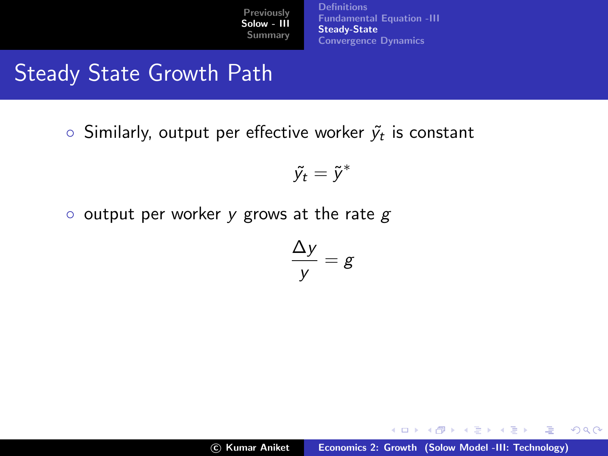[Definitions](#page-3-0) [Fundamental Equation -III](#page-11-0) **[Steady-State](#page-16-0)** [Convergence Dynamics](#page-24-0)

# Steady State Growth Path

 $\circ$  Similarly, output per effective worker  $\widetilde{\mathsf{y}}_t$  is constant

$$
\tilde{y_t} = \tilde{y}^*
$$

 $\circ$  output per worker y grows at the rate g

$$
\frac{\Delta y}{y} = g
$$

イロト イ押 トイモト イモト

 $2Q$ 

哇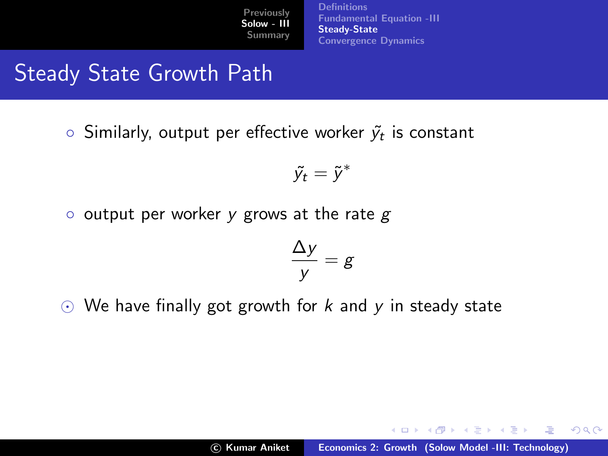**[Definitions](#page-3-0)** [Fundamental Equation -III](#page-11-0) [Steady-State](#page-16-0) [Convergence Dynamics](#page-24-0)

# Steady State Growth Path

 $\circ$  Similarly, output per effective worker  $\widetilde{\mathsf{y}}_t$  is constant

$$
\tilde{y_t} = \tilde{y}^*
$$

 $\circ$  output per worker y grows at the rate g

$$
\frac{\Delta y}{y} = g
$$

 $\odot$  We have finally got growth for k and y in steady state

イロト イ押 トイモト イモト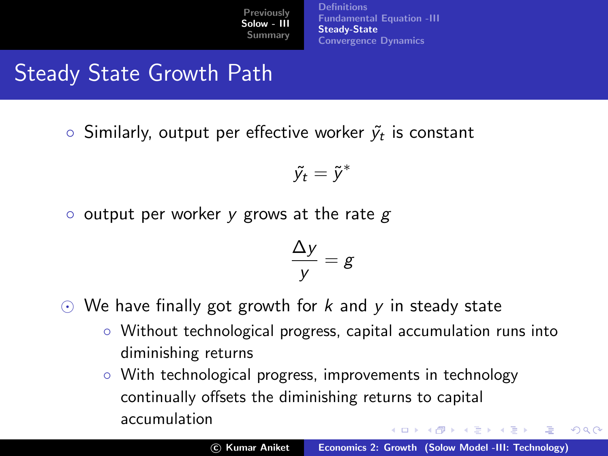**[Definitions](#page-3-0)** [Fundamental Equation -III](#page-11-0) [Steady-State](#page-16-0) [Convergence Dynamics](#page-24-0)

# Steady State Growth Path

 $\circ$  Similarly, output per effective worker  $\widetilde{\mathsf{y}}_t$  is constant

$$
\tilde{y_t} = \tilde{y}^*
$$

 $\circ$  output per worker y grows at the rate g

$$
\frac{\Delta y}{y} = g
$$

- $\odot$  We have finally got growth for k and y in steady state
	- Without technological progress, capital accumulation runs into diminishing returns
	- With technological progress, improvements in technology continually offsets the diminishing returns to capital accumulation イロメ マ桐 メラミンマチャ

 $\Omega$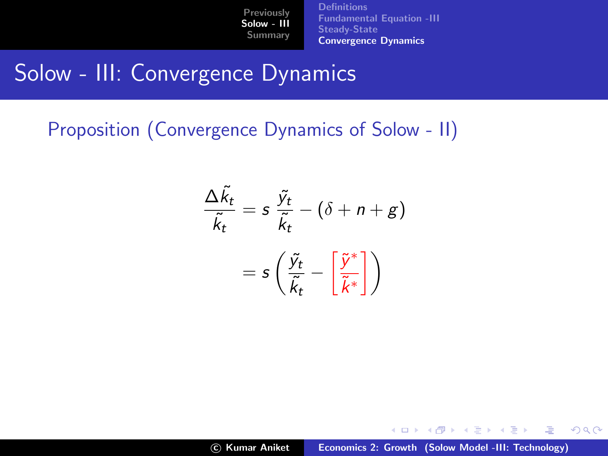[Definitions](#page-3-0) [Fundamental Equation -III](#page-11-0) [Steady-State](#page-16-0) [Convergence Dynamics](#page-26-0)

## Solow - III: Convergence Dynamics

Proposition (Convergence Dynamics of Solow - II)

$$
\frac{\Delta \tilde{k}_t}{\tilde{k}_t} = s \frac{\tilde{y}_t}{\tilde{k}_t} - (\delta + n + g)
$$

$$
= s \left( \frac{\tilde{y}_t}{\tilde{k}_t} - \left[ \frac{\tilde{y}^*}{\tilde{k}^*} \right] \right)
$$

メロメ メ御き メミメ メミメー

<span id="page-24-0"></span> $2Q$ 

哇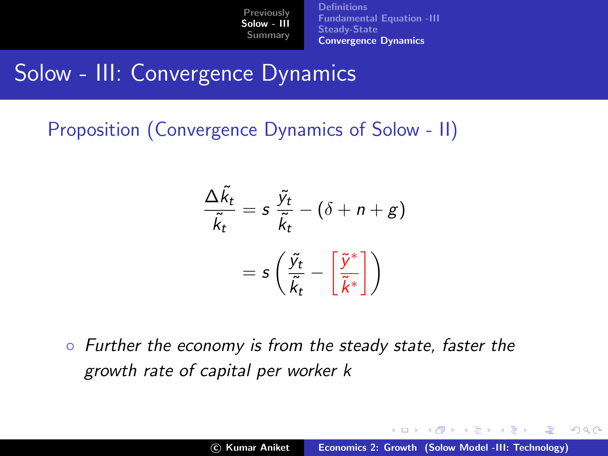**[Definitions](#page-3-0)** [Fundamental Equation -III](#page-11-0) [Steady-State](#page-16-0) [Convergence Dynamics](#page-26-0)

## Solow - III: Convergence Dynamics

Proposition (Convergence Dynamics of Solow - II)

$$
\frac{\Delta \tilde{k}_t}{\tilde{k}_t} = s \frac{\tilde{y}_t}{\tilde{k}_t} - (\delta + n + g)
$$

$$
= s \left( \frac{\tilde{y}_t}{\tilde{k}_t} - \left[ \frac{\tilde{y}^*}{\tilde{k}^*} \right] \right)
$$

◦ Further the economy is from the steady state, faster the growth rate of capital per worker k

イロメ イ部メ イヨメ イヨメー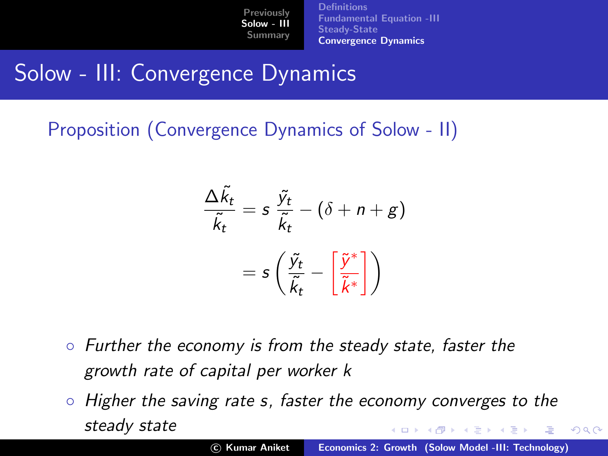**[Definitions](#page-3-0)** [Fundamental Equation -III](#page-11-0) [Steady-State](#page-16-0) [Convergence Dynamics](#page-24-0)

## Solow - III: Convergence Dynamics

Proposition (Convergence Dynamics of Solow - II)

$$
\frac{\Delta \tilde{k}_t}{\tilde{k}_t} = s \frac{\tilde{y}_t}{\tilde{k}_t} - (\delta + n + g)
$$

$$
= s \left( \frac{\tilde{y}_t}{\tilde{k}_t} - \left[ \frac{\tilde{y}^*}{\tilde{k}^*} \right] \right)
$$

- Further the economy is from the steady state, faster the growth rate of capital per worker k
- Higher the saving rate s, faster the economy converges to the steady state メロメ メ御 メメ きょくきょう

<span id="page-26-0"></span> $\Omega$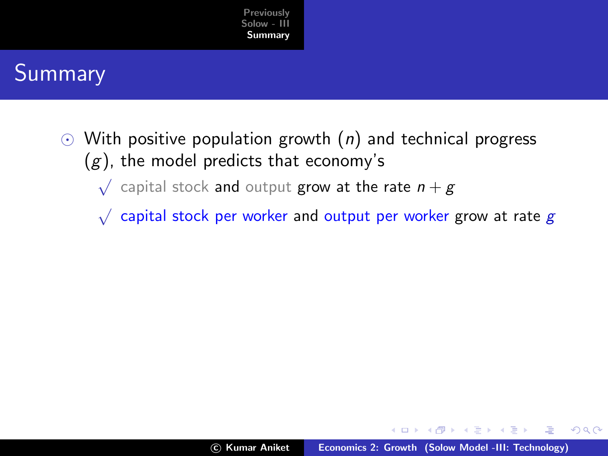

## Summary

- $\odot$  With positive population growth  $(n)$  and technical progress  $(g)$ , the model predicts that economy's
	- $\sqrt{\phantom{a}}$  capital stock and output grow at the rate  $n+g$
	- $\sqrt{\phantom{a}}$  capital stock per worker and output per worker grow at rate  $g$

 $4.17 \times$ 

<span id="page-27-0"></span>- オート オート オート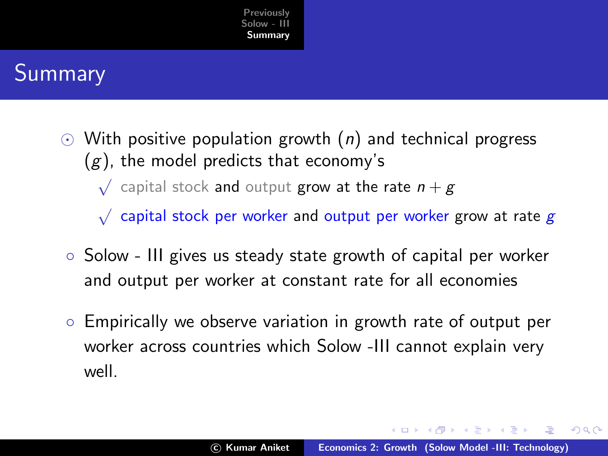

## Summary

 $\odot$  With positive population growth (*n*) and technical progress  $(g)$ , the model predicts that economy's

 $\sqrt{\phantom{a}}$  capital stock and output grow at the rate  $n+g$ 

 $\sqrt{\phantom{a}}$  capital stock per worker and output per worker grow at rate  $g$ 

- Solow III gives us steady state growth of capital per worker and output per worker at constant rate for all economies
- Empirically we observe variation in growth rate of output per worker across countries which Solow -III cannot explain very well.

イロメ マ桐 メラミンマチャ

 $\Omega$